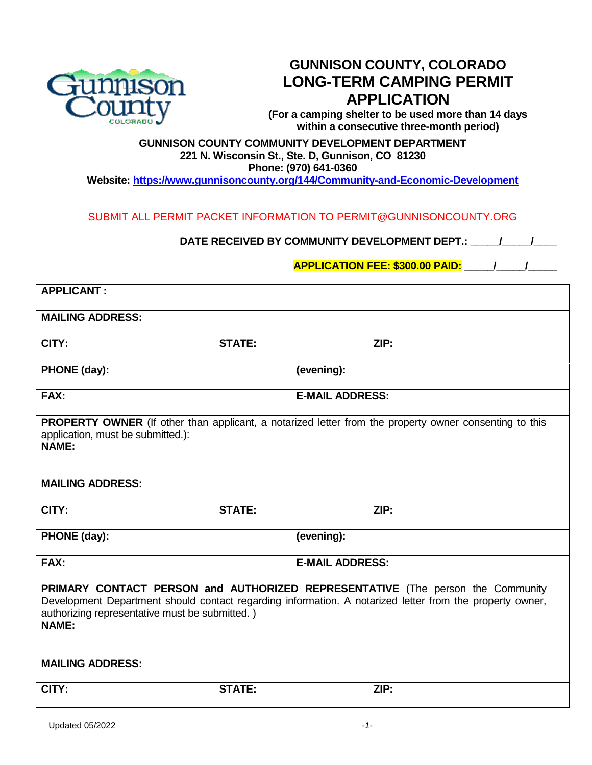

**GUNNISON COUNTY, COLORADO LONG-TERM CAMPING PERMIT APPLICATION**

**(For a camping shelter to be used more than 14 days within a consecutive three-month period)**

# **GUNNISON COUNTY COMMUNITY DEVELOPMENT DEPARTMENT 221 N. Wisconsin St., Ste. D, Gunnison, CO 81230 Phone: (970) 641-0360**

**Website: <https://www.gunnisoncounty.org/144/Community-and-Economic-Development>**

SUBMIT ALL PERMIT PACKET INFORMATION TO [PERMIT@GUNNISONCOUNTY.ORG](mailto:PLANNING@GUNNISONCOUNTY.ORG)

DATE RECEIVED BY COMMUNITY DEVELOPMENT DEPT.: \_\_\_\_\_/\_\_\_\_\_/\_\_\_\_\_

**APPLICATION FEE: \$300.00 PAID: \_\_\_\_\_/\_\_\_\_\_/\_\_\_\_\_**

| <b>APPLICANT:</b>                                                                                                                                                                                                                                            |               |                        |                        |  |
|--------------------------------------------------------------------------------------------------------------------------------------------------------------------------------------------------------------------------------------------------------------|---------------|------------------------|------------------------|--|
| <b>MAILING ADDRESS:</b>                                                                                                                                                                                                                                      |               |                        |                        |  |
| CITY:                                                                                                                                                                                                                                                        | <b>STATE:</b> |                        | ZIP:                   |  |
| PHONE (day):                                                                                                                                                                                                                                                 |               | (evening):             |                        |  |
| FAX:                                                                                                                                                                                                                                                         |               | <b>E-MAIL ADDRESS:</b> |                        |  |
| <b>PROPERTY OWNER</b> (If other than applicant, a notarized letter from the property owner consenting to this<br>application, must be submitted.):<br><b>NAME:</b>                                                                                           |               |                        |                        |  |
| <b>MAILING ADDRESS:</b>                                                                                                                                                                                                                                      |               |                        |                        |  |
| CITY:                                                                                                                                                                                                                                                        | <b>STATE:</b> |                        | ZIP:                   |  |
| PHONE (day):                                                                                                                                                                                                                                                 |               | (evening):             |                        |  |
| FAX:                                                                                                                                                                                                                                                         |               |                        | <b>E-MAIL ADDRESS:</b> |  |
| PRIMARY CONTACT PERSON and AUTHORIZED REPRESENTATIVE (The person the Community<br>Development Department should contact regarding information. A notarized letter from the property owner,<br>authorizing representative must be submitted.)<br><b>NAME:</b> |               |                        |                        |  |
| <b>MAILING ADDRESS:</b>                                                                                                                                                                                                                                      |               |                        |                        |  |
| CITY:                                                                                                                                                                                                                                                        | <b>STATE:</b> |                        | ZIP:                   |  |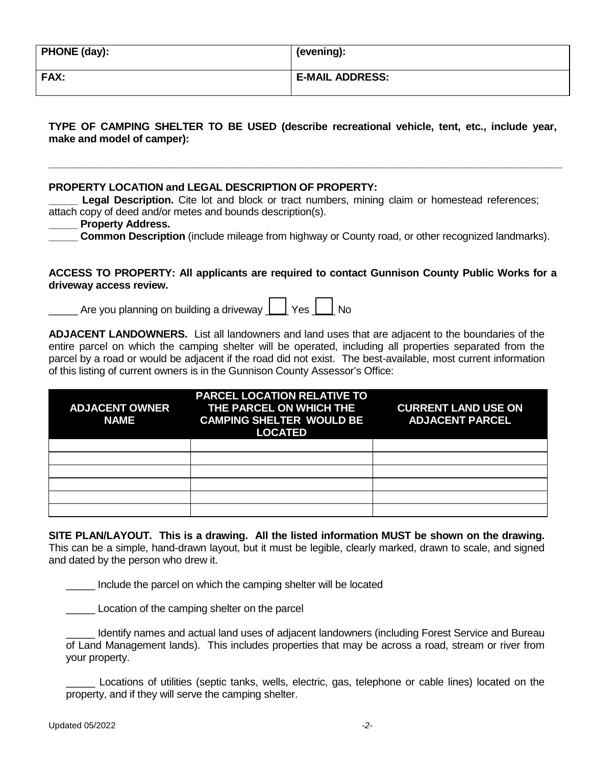| <b>PHONE (day):</b> | (evening):             |
|---------------------|------------------------|
| <b>FAX:</b>         | <b>E-MAIL ADDRESS:</b> |

**TYPE OF CAMPING SHELTER TO BE USED (describe recreational vehicle, tent, etc., include year, make and model of camper):**

**\_\_\_\_\_\_\_\_\_\_\_\_\_\_\_\_\_\_\_\_\_\_\_\_\_\_\_\_\_\_\_\_\_\_\_\_\_\_\_\_\_\_\_\_\_\_\_\_\_\_\_\_\_\_\_\_\_\_\_\_\_\_\_\_\_\_\_\_\_\_\_\_\_\_\_\_\_\_\_\_\_\_\_\_\_\_\_\_\_**

# **PROPERTY LOCATION and LEGAL DESCRIPTION OF PROPERTY:**

**Legal Description.** Cite lot and block or tract numbers, mining claim or homestead references; attach copy of deed and/or metes and bounds description(s).

### **\_\_\_\_\_ Property Address.**

**Common Description** (include mileage from highway or County road, or other recognized landmarks).

**ACCESS TO PROPERTY: All applicants are required to contact Gunnison County Public Works for a driveway access review.**

Are you planning on building a driveway  $\vert$   $\vert$  Yes  $\vert$  No

**ADJACENT LANDOWNERS.** List all landowners and land uses that are adjacent to the boundaries of the entire parcel on which the camping shelter will be operated, including all properties separated from the parcel by a road or would be adjacent if the road did not exist. The best-available, most current information of this listing of current owners is in the Gunnison County Assessor's Office:

| <b>ADJACENT OWNER</b><br><b>NAME</b> | <b>PARCEL LOCATION RELATIVE TO</b><br>THE PARCEL ON WHICH THE<br><b>CAMPING SHELTER WOULD BE</b><br><b>LOCATED</b> | <b>CURRENT LAND USE ON</b><br><b>ADJACENT PARCEL</b> |
|--------------------------------------|--------------------------------------------------------------------------------------------------------------------|------------------------------------------------------|
|                                      |                                                                                                                    |                                                      |
|                                      |                                                                                                                    |                                                      |
|                                      |                                                                                                                    |                                                      |
|                                      |                                                                                                                    |                                                      |
|                                      |                                                                                                                    |                                                      |
|                                      |                                                                                                                    |                                                      |

**SITE PLAN/LAYOUT. This is a drawing. All the listed information MUST be shown on the drawing.**  This can be a simple, hand-drawn layout, but it must be legible, clearly marked, drawn to scale, and signed and dated by the person who drew it.

\_\_\_\_\_ Include the parcel on which the camping shelter will be located

\_\_\_\_\_ Location of the camping shelter on the parcel

Identify names and actual land uses of adjacent landowners (including Forest Service and Bureau of Land Management lands). This includes properties that may be across a road, stream or river from your property.

\_\_\_\_\_ Locations of utilities (septic tanks, wells, electric, gas, telephone or cable lines) located on the property, and if they will serve the camping shelter.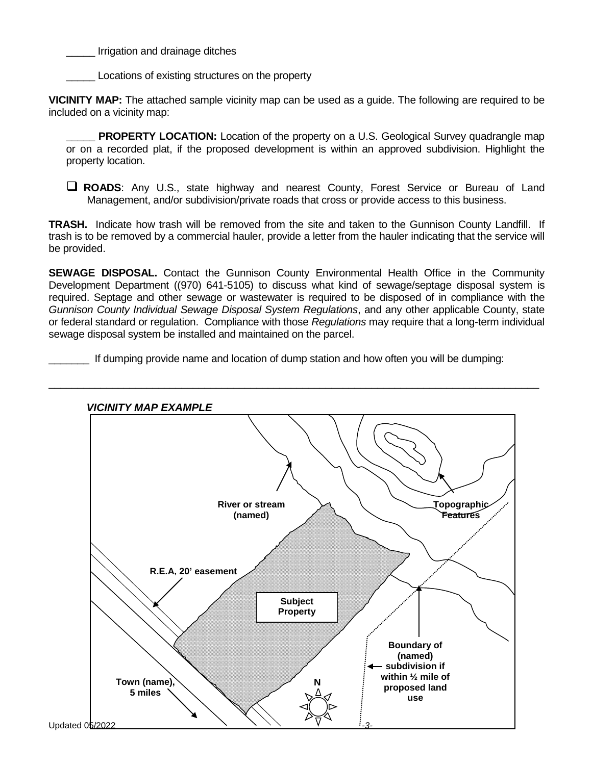Irrigation and drainage ditches

Locations of existing structures on the property

**VICINITY MAP:** The attached sample vicinity map can be used as a guide. The following are required to be included on a vicinity map:

**PROPERTY LOCATION:** Location of the property on a U.S. Geological Survey quadrangle map or on a recorded plat, if the proposed development is within an approved subdivision. Highlight the property location.

 **ROADS**: Any U.S., state highway and nearest County, Forest Service or Bureau of Land Management, and/or subdivision/private roads that cross or provide access to this business.

**TRASH.** Indicate how trash will be removed from the site and taken to the Gunnison County Landfill. If trash is to be removed by a commercial hauler, provide a letter from the hauler indicating that the service will be provided.

**SEWAGE DISPOSAL.** Contact the Gunnison County Environmental Health Office in the Community Development Department ((970) 641-5105) to discuss what kind of sewage/septage disposal system is required. Septage and other sewage or wastewater is required to be disposed of in compliance with the *Gunnison County Individual Sewage Disposal System Regulations*, and any other applicable County, state or federal standard or regulation. Compliance with those *Regulations* may require that a long-term individual sewage disposal system be installed and maintained on the parcel.

If dumping provide name and location of dump station and how often you will be dumping: